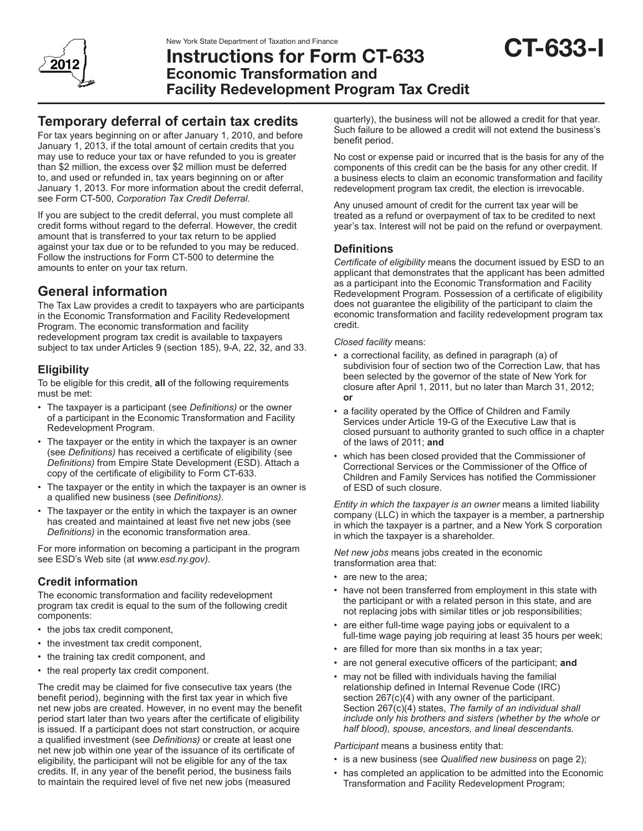

# New York State Department of Taxation and Finance<br>Instructions for Form CT-633 CT-633 Economic Transformation and Facility Redevelopment Program Tax Credit

# **Temporary deferral of certain tax credits**

For tax years beginning on or after January 1, 2010, and before January 1, 2013, if the total amount of certain credits that you may use to reduce your tax or have refunded to you is greater than \$2 million, the excess over \$2 million must be deferred to, and used or refunded in, tax years beginning on or after January 1, 2013. For more information about the credit deferral, see Form CT-500, *Corporation Tax Credit Deferral*.

If you are subject to the credit deferral, you must complete all credit forms without regard to the deferral. However, the credit amount that is transferred to your tax return to be applied against your tax due or to be refunded to you may be reduced. Follow the instructions for Form CT-500 to determine the amounts to enter on your tax return.

# **General information**

The Tax Law provides a credit to taxpayers who are participants in the Economic Transformation and Facility Redevelopment Program. The economic transformation and facility redevelopment program tax credit is available to taxpayers subject to tax under Articles 9 (section 185), 9-A, 22, 32, and 33.

# **Eligibility**

To be eligible for this credit, **all** of the following requirements must be met:

- The taxpayer is a participant (see *Definitions*) or the owner of a participant in the Economic Transformation and Facility Redevelopment Program.
- The taxpayer or the entity in which the taxpayer is an owner (see *Definitions)* has received a certificate of eligibility (see *Definitions)* from Empire State Development (ESD). Attach a copy of the certificate of eligibility to Form CT-633.
- The taxpayer or the entity in which the taxpayer is an owner is a qualified new business (see *Definitions).*
- The taxpayer or the entity in which the taxpayer is an owner has created and maintained at least five net new jobs (see *Definitions)* in the economic transformation area.

For more information on becoming a participant in the program see ESD's Web site (at *www.esd.ny.gov).*

# **Credit information**

The economic transformation and facility redevelopment program tax credit is equal to the sum of the following credit components:

- the jobs tax credit component,
- the investment tax credit component,
- the training tax credit component, and
- the real property tax credit component.

The credit may be claimed for five consecutive tax years (the benefit period), beginning with the first tax year in which five net new jobs are created. However, in no event may the benefit period start later than two years after the certificate of eligibility is issued. If a participant does not start construction, or acquire a qualified investment (see *Definitions)* or create at least one net new job within one year of the issuance of its certificate of eligibility, the participant will not be eligible for any of the tax credits. If, in any year of the benefit period, the business fails to maintain the required level of five net new jobs (measured

quarterly), the business will not be allowed a credit for that year. Such failure to be allowed a credit will not extend the business's benefit period.

No cost or expense paid or incurred that is the basis for any of the components of this credit can be the basis for any other credit. If a business elects to claim an economic transformation and facility redevelopment program tax credit, the election is irrevocable.

Any unused amount of credit for the current tax year will be treated as a refund or overpayment of tax to be credited to next year's tax. Interest will not be paid on the refund or overpayment.

## **Definitions**

*Certificate of eligibility* means the document issued by ESD to an applicant that demonstrates that the applicant has been admitted as a participant into the Economic Transformation and Facility Redevelopment Program. Possession of a certificate of eligibility does not guarantee the eligibility of the participant to claim the economic transformation and facility redevelopment program tax credit.

*Closed facility* means:

- a correctional facility, as defined in paragraph (a) of subdivision four of section two of the Correction Law, that has been selected by the governor of the state of New York for closure after April 1, 2011, but no later than March 31, 2012; **or**
- a facility operated by the Office of Children and Family Services under Article 19-G of the Executive Law that is closed pursuant to authority granted to such office in a chapter of the laws of 2011; **and**
- • which has been closed provided that the Commissioner of Correctional Services or the Commissioner of the Office of Children and Family Services has notified the Commissioner of ESD of such closure.

*Entity in which the taxpayer is an owner* means a limited liability company (LLC) in which the taxpayer is a member, a partnership in which the taxpayer is a partner, and a New York S corporation in which the taxpayer is a shareholder.

*Net new jobs* means jobs created in the economic transformation area that:

- are new to the area:
- have not been transferred from employment in this state with the participant or with a related person in this state, and are not replacing jobs with similar titles or job responsibilities;
- are either full-time wage paying jobs or equivalent to a full-time wage paying job requiring at least 35 hours per week;
- are filled for more than six months in a tax year;
- • are not general executive officers of the participant; **and**
- may not be filled with individuals having the familial relationship defined in Internal Revenue Code (IRC) section 267(c)(4) with any owner of the participant. Section 267(c)(4) states, *The family of an individual shall include only his brothers and sisters (whether by the whole or half blood), spouse, ancestors, and lineal descendants.*

*Participant* means a business entity that:

- • is a new business (see *Qualified new business* on page 2);
- has completed an application to be admitted into the Economic Transformation and Facility Redevelopment Program;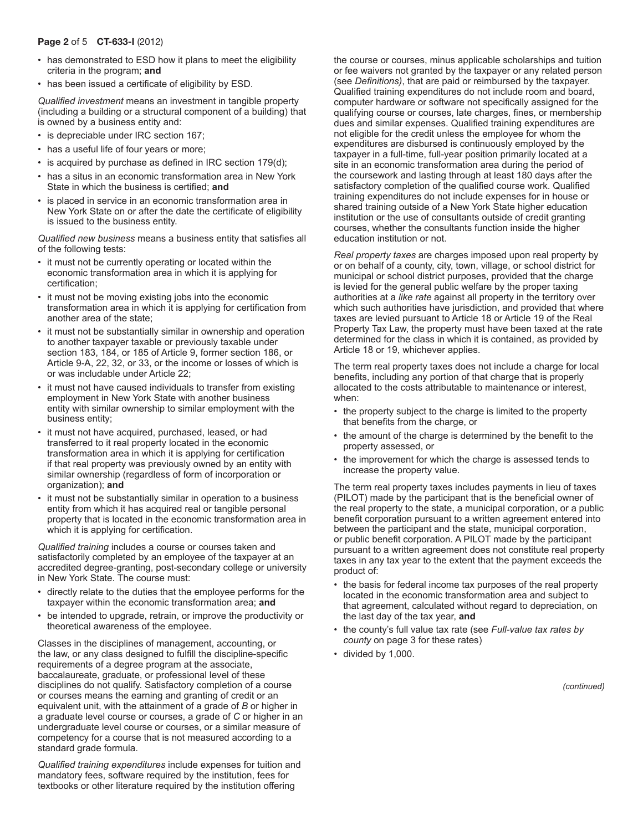#### Page 2 of 5 CT-633-I (2012)

- has demonstrated to ESD how it plans to meet the eligibility criteria in the program; **and**
- has been issued a certificate of eligibility by ESD.

*Qualified investment* means an investment in tangible property (including a building or a structural component of a building) that is owned by a business entity and:

- is depreciable under IRC section 167;
- has a useful life of four years or more;
- $\cdot$  is acquired by purchase as defined in IRC section 179(d);
- has a situs in an economic transformation area in New York State in which the business is certified; **and**
- is placed in service in an economic transformation area in New York State on or after the date the certificate of eligibility is issued to the business entity.

*Qualified new business* means a business entity that satisfies all of the following tests:

- it must not be currently operating or located within the economic transformation area in which it is applying for certification;
- it must not be moving existing jobs into the economic transformation area in which it is applying for certification from another area of the state;
- it must not be substantially similar in ownership and operation to another taxpayer taxable or previously taxable under section 183, 184, or 185 of Article 9, former section 186, or Article 9-A, 22, 32, or 33, or the income or losses of which is or was includable under Article 22;
- it must not have caused individuals to transfer from existing employment in New York State with another business entity with similar ownership to similar employment with the business entity;
- it must not have acquired, purchased, leased, or had transferred to it real property located in the economic transformation area in which it is applying for certification if that real property was previously owned by an entity with similar ownership (regardless of form of incorporation or organization); **and**
- it must not be substantially similar in operation to a business entity from which it has acquired real or tangible personal property that is located in the economic transformation area in which it is applying for certification.

*Qualified training* includes a course or courses taken and satisfactorily completed by an employee of the taxpayer at an accredited degree-granting, post-secondary college or university in New York State. The course must:

- directly relate to the duties that the employee performs for the taxpayer within the economic transformation area; **and**
- be intended to upgrade, retrain, or improve the productivity or theoretical awareness of the employee.

Classes in the disciplines of management, accounting, or the law, or any class designed to fulfill the discipline-specific requirements of a degree program at the associate, baccalaureate, graduate, or professional level of these disciplines do not qualify. Satisfactory completion of a course or courses means the earning and granting of credit or an equivalent unit, with the attainment of a grade of *B* or higher in a graduate level course or courses, a grade of *C* or higher in an undergraduate level course or courses, or a similar measure of competency for a course that is not measured according to a standard grade formula.

*Qualified training expenditures* include expenses for tuition and mandatory fees, software required by the institution, fees for textbooks or other literature required by the institution offering

the course or courses, minus applicable scholarships and tuition or fee waivers not granted by the taxpayer or any related person (see *Definitions)*, that are paid or reimbursed by the taxpayer. Qualified training expenditures do not include room and board, computer hardware or software not specifically assigned for the qualifying course or courses, late charges, fines, or membership dues and similar expenses. Qualified training expenditures are not eligible for the credit unless the employee for whom the expenditures are disbursed is continuously employed by the taxpayer in a full-time, full-year position primarily located at a site in an economic transformation area during the period of the coursework and lasting through at least 180 days after the satisfactory completion of the qualified course work. Qualified training expenditures do not include expenses for in house or shared training outside of a New York State higher education institution or the use of consultants outside of credit granting courses, whether the consultants function inside the higher education institution or not.

*Real property taxes* are charges imposed upon real property by or on behalf of a county, city, town, village, or school district for municipal or school district purposes, provided that the charge is levied for the general public welfare by the proper taxing authorities at a *like rate* against all property in the territory over which such authorities have jurisdiction, and provided that where taxes are levied pursuant to Article 18 or Article 19 of the Real Property Tax Law, the property must have been taxed at the rate determined for the class in which it is contained, as provided by Article 18 or 19, whichever applies.

The term real property taxes does not include a charge for local benefits, including any portion of that charge that is properly allocated to the costs attributable to maintenance or interest, when:

- the property subject to the charge is limited to the property that benefits from the charge, or
- the amount of the charge is determined by the benefit to the property assessed, or
- the improvement for which the charge is assessed tends to increase the property value.

The term real property taxes includes payments in lieu of taxes (PILOT) made by the participant that is the beneficial owner of the real property to the state, a municipal corporation, or a public benefit corporation pursuant to a written agreement entered into between the participant and the state, municipal corporation, or public benefit corporation. A PILOT made by the participant pursuant to a written agreement does not constitute real property taxes in any tax year to the extent that the payment exceeds the product of:

- the basis for federal income tax purposes of the real property located in the economic transformation area and subject to that agreement, calculated without regard to depreciation, on the last day of the tax year, **and**
- • the county's full value tax rate (see *Full-value tax rates by county* on page 3 for these rates)
- • divided by 1,000.

*(continued)*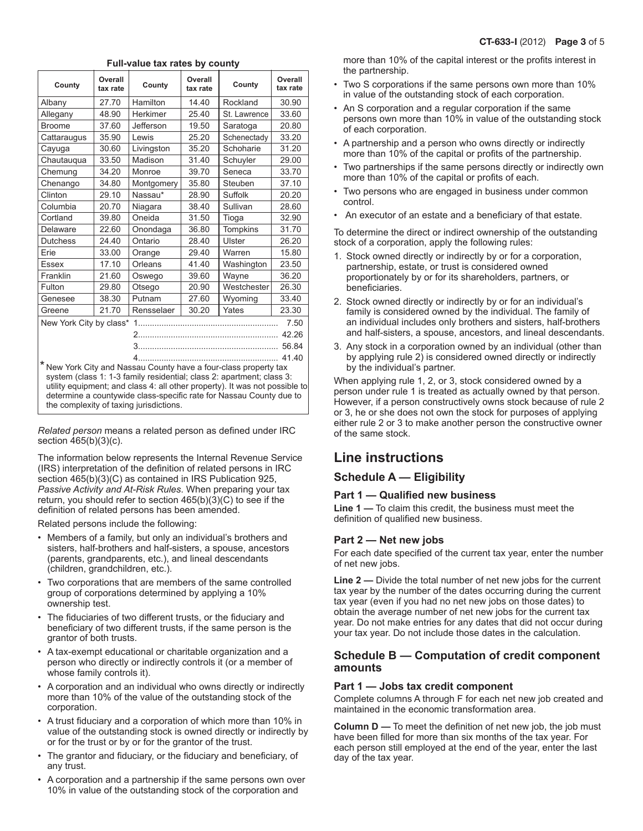| County                                                                                                                                                                                                                                                                                                                                              | Overall<br>tax rate | County     | Overall<br>tax rate | County          | Overall<br>tax rate |  |
|-----------------------------------------------------------------------------------------------------------------------------------------------------------------------------------------------------------------------------------------------------------------------------------------------------------------------------------------------------|---------------------|------------|---------------------|-----------------|---------------------|--|
| Albany                                                                                                                                                                                                                                                                                                                                              | 27.70               | Hamilton   | 14.40               | Rockland        | 30.90               |  |
| Allegany                                                                                                                                                                                                                                                                                                                                            | 48.90               | Herkimer   | 25.40               | St. Lawrence    | 33.60               |  |
| <b>Broome</b>                                                                                                                                                                                                                                                                                                                                       | 37.60               | Jefferson  | 19.50               | Saratoga        | 20.80               |  |
| Cattaraugus                                                                                                                                                                                                                                                                                                                                         | 35.90               | Lewis      | 25.20               | Schenectady     | 33.20               |  |
| Cayuga                                                                                                                                                                                                                                                                                                                                              | 30.60               | Livingston | 35.20               | Schoharie       | 31.20               |  |
| Chautauqua                                                                                                                                                                                                                                                                                                                                          | 33.50               | Madison    | 31.40               | Schuyler        | 29.00               |  |
| Chemung                                                                                                                                                                                                                                                                                                                                             | 34.20               | Monroe     | 39.70               | Seneca          | 33.70               |  |
| Chenango                                                                                                                                                                                                                                                                                                                                            | 34.80               | Montgomery | 35.80               | Steuben         | 37.10               |  |
| Clinton                                                                                                                                                                                                                                                                                                                                             | 29.10               | Nassau*    | 28.90               | Suffolk         | 20.20               |  |
| Columbia                                                                                                                                                                                                                                                                                                                                            | 20.70               | Niagara    | 38.40               | Sullivan        | 28.60               |  |
| Cortland                                                                                                                                                                                                                                                                                                                                            | 39.80               | Oneida     | 31.50               | Tioga           | 32.90               |  |
| Delaware                                                                                                                                                                                                                                                                                                                                            | 22.60               | Onondaga   | 36.80               | <b>Tompkins</b> | 31.70               |  |
| <b>Dutchess</b>                                                                                                                                                                                                                                                                                                                                     | 24.40               | Ontario    | 28.40               | Ulster          | 26.20               |  |
| Erie                                                                                                                                                                                                                                                                                                                                                | 33.00               | Orange     | 29.40               | Warren          | 15.80               |  |
| Essex                                                                                                                                                                                                                                                                                                                                               | 17.10               | Orleans    | 41.40               | Washington      | 23.50               |  |
| Franklin                                                                                                                                                                                                                                                                                                                                            | 21.60               | Oswego     | 39.60               | Wayne           | 36.20               |  |
| Fulton                                                                                                                                                                                                                                                                                                                                              | 29.80               | Otsego     | 20.90               | Westchester     | 26.30               |  |
| Genesee                                                                                                                                                                                                                                                                                                                                             | 38.30               | Putnam     | 27.60               | Wyoming         | 33.40               |  |
| Greene                                                                                                                                                                                                                                                                                                                                              | 21.70               | Rensselaer | 30.20               | Yates           | 23.30               |  |
| New York City by class*<br>7.50                                                                                                                                                                                                                                                                                                                     |                     |            |                     |                 |                     |  |
| 42.26                                                                                                                                                                                                                                                                                                                                               |                     |            |                     |                 |                     |  |
| 56.84                                                                                                                                                                                                                                                                                                                                               |                     |            |                     |                 |                     |  |
| 41.40<br>* New York City and Nassau County have a four-class property tax<br>system (class 1: 1-3 family residential; class 2: apartment; class 3:<br>utility equipment; and class 4: all other property). It was not possible to<br>determine a countywide class-specific rate for Nassau County due to<br>the complexity of taxing jurisdictions. |                     |            |                     |                 |                     |  |

#### **Full-value tax rates by county**

*Related person* means a related person as defined under IRC section 465(b)(3)(c).

The information below represents the Internal Revenue Service (IRS) interpretation of the definition of related persons in IRC section 465(b)(3)(C) as contained in IRS Publication 925, *Passive Activity and At-Risk Rules*. When preparing your tax return, you should refer to section 465(b)(3)(C) to see if the definition of related persons has been amended.

Related persons include the following:

- Members of a family, but only an individual's brothers and sisters, half-brothers and half-sisters, a spouse, ancestors (parents, grandparents, etc.), and lineal descendants (children, grandchildren, etc.).
- Two corporations that are members of the same controlled group of corporations determined by applying a 10% ownership test.
- The fiduciaries of two different trusts, or the fiduciary and beneficiary of two different trusts, if the same person is the grantor of both trusts.
- A tax-exempt educational or charitable organization and a person who directly or indirectly controls it (or a member of whose family controls it).
- A corporation and an individual who owns directly or indirectly more than 10% of the value of the outstanding stock of the corporation.
- A trust fiduciary and a corporation of which more than 10% in value of the outstanding stock is owned directly or indirectly by or for the trust or by or for the grantor of the trust.
- The grantor and fiduciary, or the fiduciary and beneficiary, of any trust.
- A corporation and a partnership if the same persons own over 10% in value of the outstanding stock of the corporation and

more than 10% of the capital interest or the profits interest in the partnership.

- Two S corporations if the same persons own more than 10% in value of the outstanding stock of each corporation.
- An S corporation and a regular corporation if the same persons own more than 10% in value of the outstanding stock of each corporation.
- A partnership and a person who owns directly or indirectly more than 10% of the capital or profits of the partnership.
- Two partnerships if the same persons directly or indirectly own more than 10% of the capital or profits of each.
- Two persons who are engaged in business under common control.
- An executor of an estate and a beneficiary of that estate.

To determine the direct or indirect ownership of the outstanding stock of a corporation, apply the following rules:

- 1. Stock owned directly or indirectly by or for a corporation, partnership, estate, or trust is considered owned proportionately by or for its shareholders, partners, or beneficiaries.
- 2. Stock owned directly or indirectly by or for an individual's family is considered owned by the individual. The family of an individual includes only brothers and sisters, half-brothers and half-sisters, a spouse, ancestors, and lineal descendants.
- 3. Any stock in a corporation owned by an individual (other than by applying rule 2) is considered owned directly or indirectly by the individual's partner.

When applying rule 1, 2, or 3, stock considered owned by a person under rule 1 is treated as actually owned by that person. However, if a person constructively owns stock because of rule 2 or 3, he or she does not own the stock for purposes of applying either rule 2 or 3 to make another person the constructive owner of the same stock.

# **Line instructions**

#### **Schedule A — Eligibility**

#### **Part 1 — Qualified new business**

**Line 1 —** To claim this credit, the business must meet the definition of qualified new business.

#### **Part 2 — Net new jobs**

For each date specified of the current tax year, enter the number of net new jobs.

**Line 2 —** Divide the total number of net new jobs for the current tax year by the number of the dates occurring during the current tax year (even if you had no net new jobs on those dates) to obtain the average number of net new jobs for the current tax year. Do not make entries for any dates that did not occur during your tax year. Do not include those dates in the calculation.

#### **Schedule B — Computation of credit component amounts**

#### **Part 1 — Jobs tax credit component**

Complete columns A through F for each net new job created and maintained in the economic transformation area.

**Column D —** To meet the definition of net new job, the job must have been filled for more than six months of the tax year. For each person still employed at the end of the year, enter the last day of the tax year.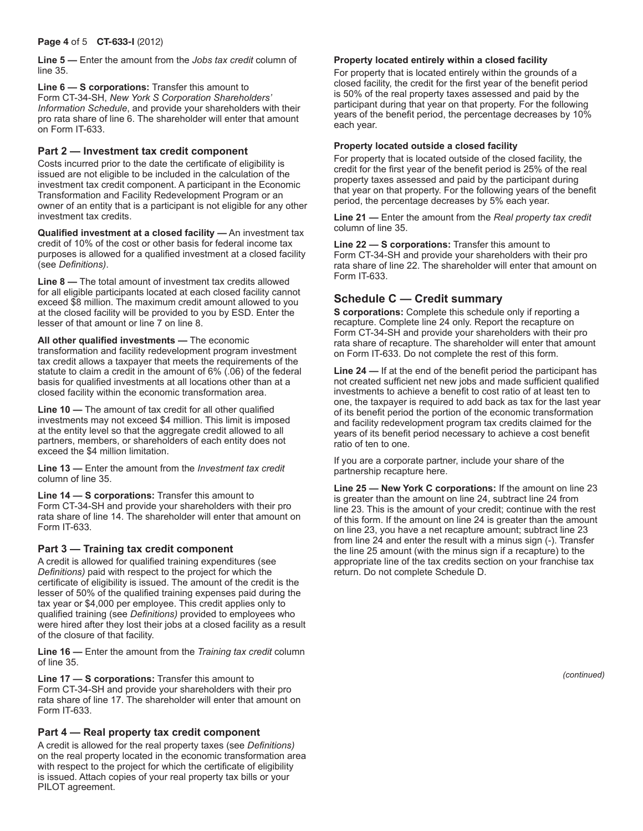**Line 5 —** Enter the amount from the *Jobs tax credit* column of line 35.

**Line 6 — S corporations:** Transfer this amount to Form CT-34-SH, *New York S Corporation Shareholders' Information Schedule*, and provide your shareholders with their pro rata share of line 6. The shareholder will enter that amount on Form IT-633.

#### **Part 2 — Investment tax credit component**

Costs incurred prior to the date the certificate of eligibility is issued are not eligible to be included in the calculation of the investment tax credit component. A participant in the Economic Transformation and Facility Redevelopment Program or an owner of an entity that is a participant is not eligible for any other investment tax credits.

**Qualified investment at a closed facility —** An investment tax credit of 10% of the cost or other basis for federal income tax purposes is allowed for a qualified investment at a closed facility (see *Definitions)*.

**Line 8 —** The total amount of investment tax credits allowed for all eligible participants located at each closed facility cannot exceed \$8 million. The maximum credit amount allowed to you at the closed facility will be provided to you by ESD. Enter the lesser of that amount or line 7 on line 8.

**All other qualified investments —** The economic transformation and facility redevelopment program investment tax credit allows a taxpayer that meets the requirements of the statute to claim a credit in the amount of 6% (.06) of the federal basis for qualified investments at all locations other than at a closed facility within the economic transformation area.

**Line 10 —** The amount of tax credit for all other qualified investments may not exceed \$4 million. This limit is imposed at the entity level so that the aggregate credit allowed to all partners, members, or shareholders of each entity does not exceed the \$4 million limitation.

**Line 13 —** Enter the amount from the *Investment tax credit* column of line 35.

**Line 14 — S corporations:** Transfer this amount to Form CT-34-SH and provide your shareholders with their pro rata share of line 14. The shareholder will enter that amount on Form IT-633.

#### **Part 3 — Training tax credit component**

A credit is allowed for qualified training expenditures (see *Definitions)* paid with respect to the project for which the certificate of eligibility is issued. The amount of the credit is the lesser of 50% of the qualified training expenses paid during the tax year or \$4,000 per employee. This credit applies only to qualified training (see *Definitions)* provided to employees who were hired after they lost their jobs at a closed facility as a result of the closure of that facility.

**Line 16 —** Enter the amount from the *Training tax credit* column of line 35.

**Line 17 — S corporations:** Transfer this amount to Form CT-34-SH and provide your shareholders with their pro rata share of line 17. The shareholder will enter that amount on Form IT-633.

#### **Part 4 — Real property tax credit component**

A credit is allowed for the real property taxes (see *Definitions)* on the real property located in the economic transformation area with respect to the project for which the certificate of eligibility is issued. Attach copies of your real property tax bills or your PILOT agreement.

#### **Property located entirely within a closed facility**

For property that is located entirely within the grounds of a closed facility, the credit for the first year of the benefit period is 50% of the real property taxes assessed and paid by the participant during that year on that property. For the following years of the benefit period, the percentage decreases by 10% each year.

#### **Property located outside a closed facility**

For property that is located outside of the closed facility, the credit for the first year of the benefit period is 25% of the real property taxes assessed and paid by the participant during that year on that property. For the following years of the benefit period, the percentage decreases by 5% each year.

**Line 21 —** Enter the amount from the *Real property tax credit* column of line 35.

**Line 22 — S corporations:** Transfer this amount to Form CT-34-SH and provide your shareholders with their pro rata share of line 22. The shareholder will enter that amount on Form IT-633.

### **Schedule C — Credit summary**

**S corporations:** Complete this schedule only if reporting a recapture. Complete line 24 only. Report the recapture on Form CT-34-SH and provide your shareholders with their pro rata share of recapture. The shareholder will enter that amount on Form IT-633. Do not complete the rest of this form.

**Line 24 —** If at the end of the benefit period the participant has not created sufficient net new jobs and made sufficient qualified investments to achieve a benefit to cost ratio of at least ten to one, the taxpayer is required to add back as tax for the last year of its benefit period the portion of the economic transformation and facility redevelopment program tax credits claimed for the years of its benefit period necessary to achieve a cost benefit ratio of ten to one.

If you are a corporate partner, include your share of the partnership recapture here.

**Line 25 — New York C corporations:** If the amount on line 23 is greater than the amount on line 24, subtract line 24 from line 23. This is the amount of your credit; continue with the rest of this form. If the amount on line 24 is greater than the amount on line 23, you have a net recapture amount; subtract line 23 from line 24 and enter the result with a minus sign (-). Transfer the line 25 amount (with the minus sign if a recapture) to the appropriate line of the tax credits section on your franchise tax return. Do not complete Schedule D.

*(continued)*